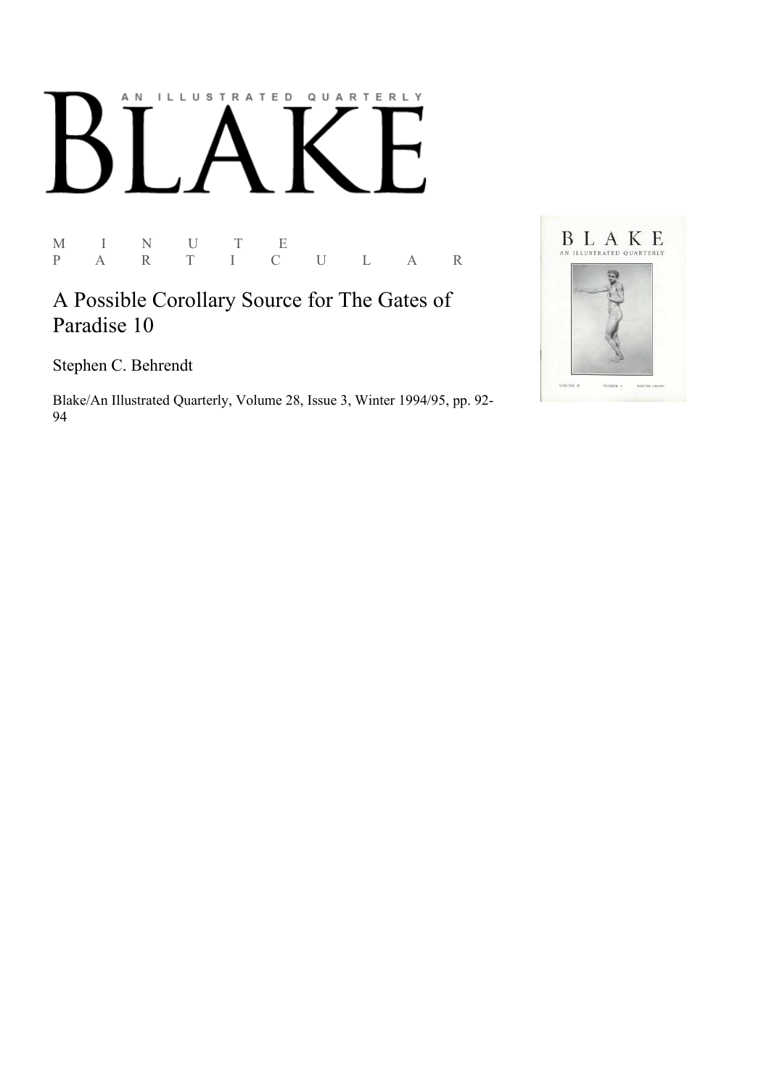# AN ILLUSTRATED QUARTERLY

M I N U T E P A R T I C U L A R

A Possible Corollary Source for The Gates of Paradise 10

Stephen C. Behrendt

Blake/An Illustrated Quarterly, Volume 28, Issue 3, Winter 1994/95, pp. 92-94

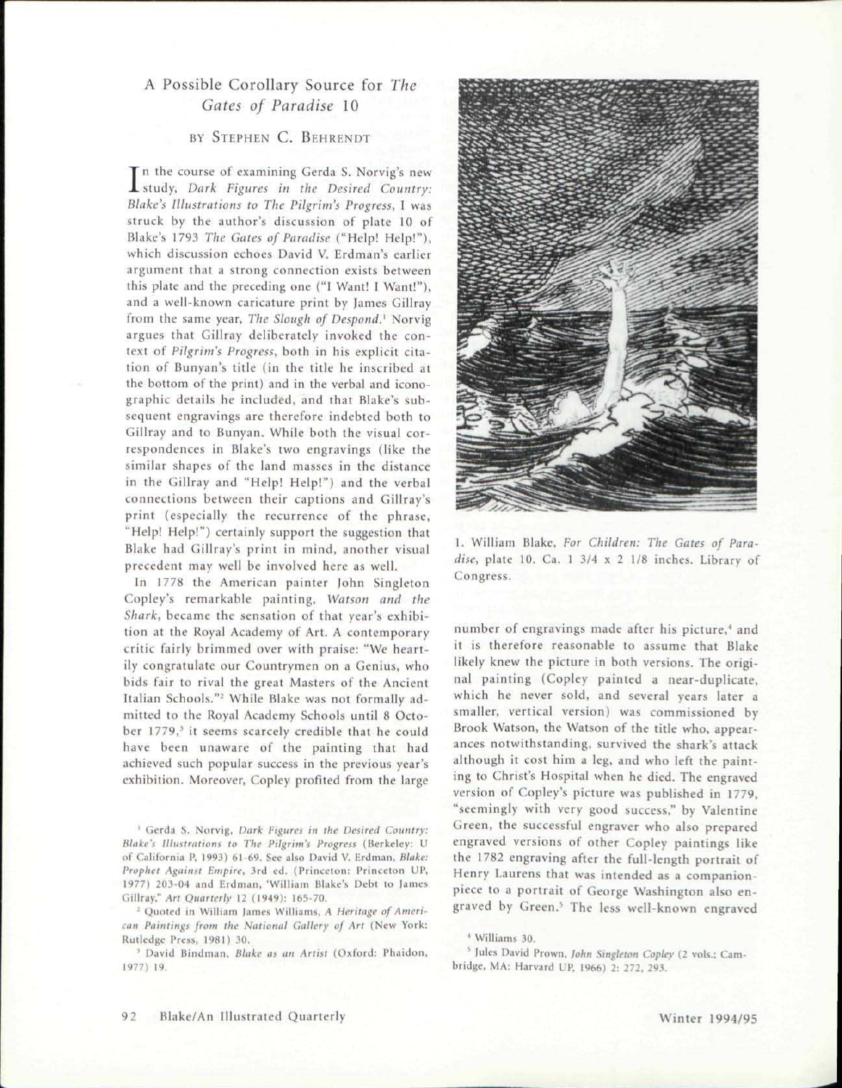# A Possible Corollary Source for *The Gates of Paradise* 10

## BY STEPHEN C. BEHRENDT

In the course of examining Gerda S. Norvig's new study, *Dark Figures in the Desired Country:* n the course of examining Gerda S. Norvig's new *Blake's Illustrations to The Pilgrim's Progress,* I was struck by the author's discussion of plate 10 of Blake's 1793 *The Gates of Paradise* ("Help! Help!"), which discussion echoes David V. Erdman's earlier argument that a strong connection exists between this plate and the preceding one ("I Want! I Want!"), and a well-known caricature print by James Gillray from the same year, *The Slough of Despond?* Norvig argues that Gillray deliberately invoked the context of *Pilgrim's Progress,* both in his explicit citation of Bunyan's title (in the title he inscribed at the bottom of the print) and in the verbal and iconographic details he included, and that Blake's subsequent engravings are therefore indebted both to Gillray and to Bunyan. While both the visual correspondences in Blake's two engravings (like the similar shapes of the land masses in the distance in the Gillray and "Help! Help!") and the verbal connections between their captions and Gillray's print (especially the recurrence of the phrase, "Help! Help!") certainly support the suggestion that Blake had Gillray's print in mind, another visual precedent may well be involved here as well.

In 1778 the American painter John Singleton Copley's remarkable painting, *Watson and the Shark,* became the sensation of that year's exhibition at the Royal Academy of Art. A contemporary critic fairly brimmed over with praise: "We heartily congratulate our Countrymen on a Genius, who bids fair to rival the great Masters of the Ancient Italian Schools."<sup>2</sup> While Blake was not formally admitted to the Royal Academy Schools until 8 October 1779,' it seems scarcely credible that he could have been unaware of the painting that had achieved such popular success in the previous year's exhibition. Moreover, Copley profited from the large

1 Gerda S. Norvig, *Dark Figures in the Desired Country: Blake's Illustrations to The Pilgrim's Progress* (Berkeley: U of California P, 1993) 61-69. See also David V. Brdman, *Blake: Prophet Against Umpire,* 3rd ed. (Princeton: Princeton UP, 1977) 203-04 and Erdman, 'William Blake's Debt to fames Gillray," *Art Quarterly* 12 (1949): 165-70.

: Quoted in William lames Williams, *A Heritage of American Paintings from the National Gallery of Art* (New York: Rutledge Press, 1981) 30.

<sup>3</sup> David Bindman, Blake as an Artist (Oxford: Phaidon, 1977) 19.



1. William Blake, *For Children: The Gates of Paradise,* plate 10. Ca. 1 3/4 x 2 1/8 inches. Library of Congress.

number of engravings made after his picture,<sup>4</sup> and it is therefore reasonable to assume that Blake likely knew the picture in both versions. The original painting (Copley painted a near-duplicate, which he never sold, and several years later a smaller, vertical version) was commissioned by Brook Watson, the Watson of the title who, appearances notwithstanding, survived the shark's attack although it cost him a leg, and who left the painting to Christ's Hospital when he died. The engraved version of Copley's picture was published in 1779, "seemingly with very good success," by Valentine Green, the successful engraver who also prepared engraved versions of other Copley paintings like the 1782 engraving after the full-length portrait of Henry Laurens that was intended as a companionpiece to a portrait of George Washington also engraved by Green.<sup>5</sup> The less well-known engraved

' Williams 30.

s Jules David Prown, *John Singleton Copley* (2 vols.; Cambridge, MA: Harvard UP, 1966) 2: 272, 293.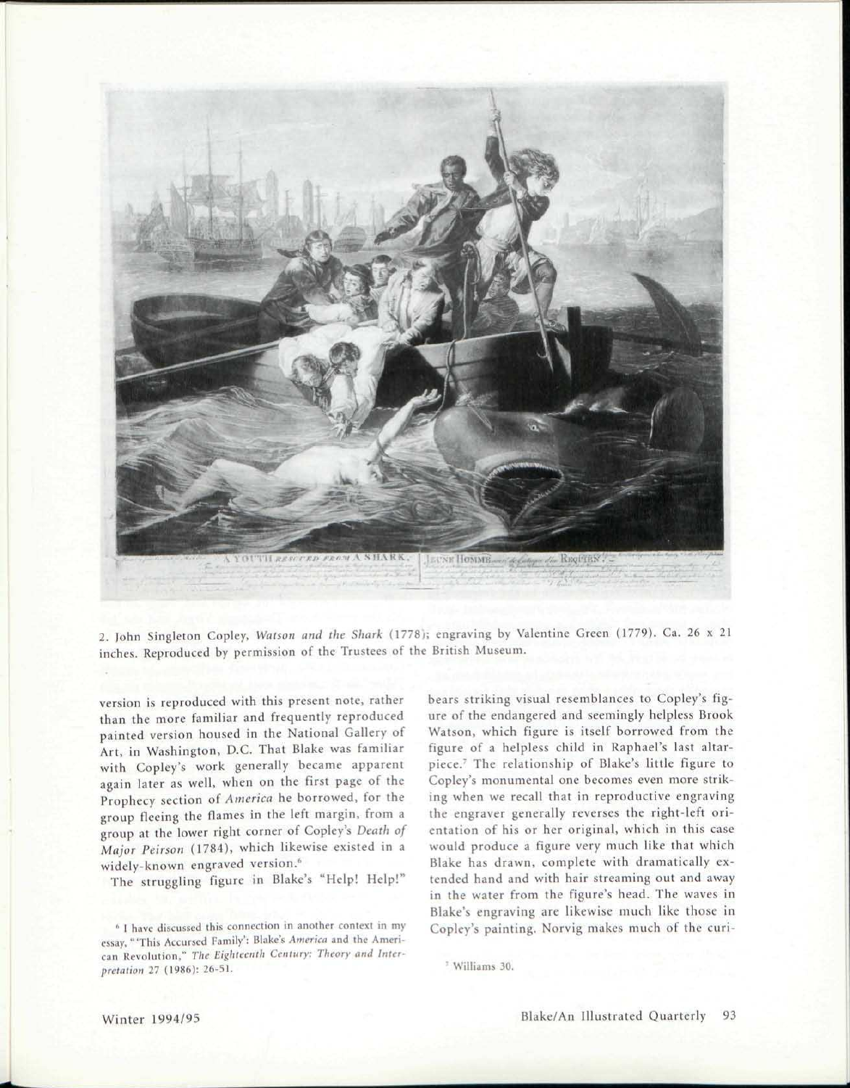

2. John Singleton Copley, *Watson and the Shark* (1778); engraving by Valentine Green (1779). Ca. 26 x 21 inches. Reproduced by permission of the Trustees of the British Museum.

version is reproduced with this present note, rather than the more familiar and frequently reproduced painted version housed in the National Gallery of Art, in Washington, D.C. That Blake was familiar with Copley's work generally became apparent again later as well, when on the first page of the Prophecy section *of America* he borrowed, for the group fleeing the flames in the left margin, from a group at the lower right corner of Copley's *Death of Major Peirson* (1784), which likewise existed in a widely-known engraved version.<sup>6</sup>

The struggling figure in Blake's "Help! Help!"

bears striking visual resemblances to Copley's figure of the endangered and seemingly helpless Brook Watson, which figure is itself borrowed from the figure of a helpless child in Raphael's last altarpiece.<sup>7</sup> The relationship of Blake's little figure to Copley's monumental one becomes even more striking when we recall that in reproductive engraving the engraver generally reverses the right-left orientation of his or her original, which in this case would produce a figure very much like that which Blake has drawn, complete with dramatically extended hand and with hair streaming out and away in the water from the figure's head. The waves in Blake's engraving are likewise much like those in Copley's painting. Norvig makes much of the curi-

<sup>\*</sup> I have discussed this connection in another context in my essay, "'This Accursed Family': Blake's *America* and the American Revolution," *The Eighteenth Century: Theory and Interpretation* 27 (1986): 26-51.

<sup>&#</sup>x27; Williams 30.